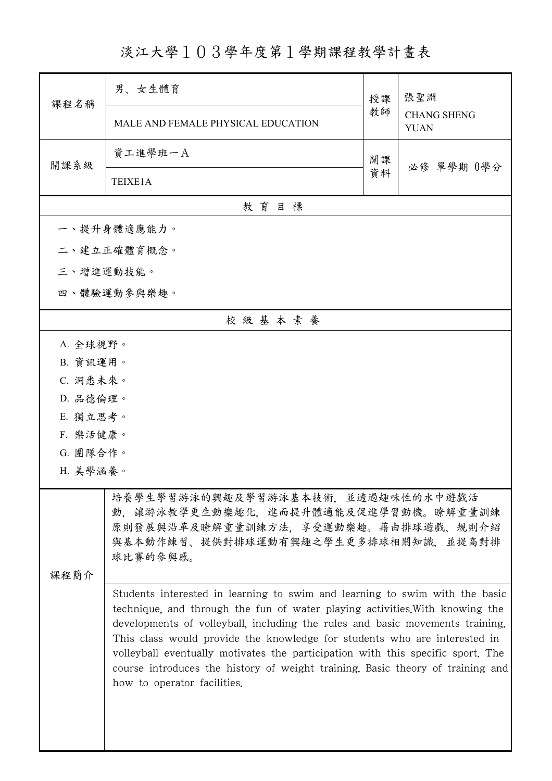淡江大學103學年度第1學期課程教學計畫表

| 課程名稱      | 男、女生體育                                                                                                                                                                                                                                                                                                                                                                                                                                                                                                                        | 授課 | 張聖淵<br><b>CHANG SHENG</b><br><b>YUAN</b> |  |  |  |
|-----------|-------------------------------------------------------------------------------------------------------------------------------------------------------------------------------------------------------------------------------------------------------------------------------------------------------------------------------------------------------------------------------------------------------------------------------------------------------------------------------------------------------------------------------|----|------------------------------------------|--|--|--|
|           | MALE AND FEMALE PHYSICAL EDUCATION                                                                                                                                                                                                                                                                                                                                                                                                                                                                                            | 教師 |                                          |  |  |  |
| 開課系級      | 資工進學班一A                                                                                                                                                                                                                                                                                                                                                                                                                                                                                                                       | 開課 |                                          |  |  |  |
|           | TEIXE1A                                                                                                                                                                                                                                                                                                                                                                                                                                                                                                                       | 資料 | 必修 單學期 0學分                               |  |  |  |
| 教育目標      |                                                                                                                                                                                                                                                                                                                                                                                                                                                                                                                               |    |                                          |  |  |  |
|           | 一、提升身體適應能力。                                                                                                                                                                                                                                                                                                                                                                                                                                                                                                                   |    |                                          |  |  |  |
|           | 二、建立正確體育概念。                                                                                                                                                                                                                                                                                                                                                                                                                                                                                                                   |    |                                          |  |  |  |
| 三、增進運動技能。 |                                                                                                                                                                                                                                                                                                                                                                                                                                                                                                                               |    |                                          |  |  |  |
|           | 四、體驗運動參與樂趣。                                                                                                                                                                                                                                                                                                                                                                                                                                                                                                                   |    |                                          |  |  |  |
|           | 校級基本素養                                                                                                                                                                                                                                                                                                                                                                                                                                                                                                                        |    |                                          |  |  |  |
| A. 全球視野。  |                                                                                                                                                                                                                                                                                                                                                                                                                                                                                                                               |    |                                          |  |  |  |
| B. 資訊運用。  |                                                                                                                                                                                                                                                                                                                                                                                                                                                                                                                               |    |                                          |  |  |  |
| C. 洞悉未來。  |                                                                                                                                                                                                                                                                                                                                                                                                                                                                                                                               |    |                                          |  |  |  |
| D. 品德倫理。  |                                                                                                                                                                                                                                                                                                                                                                                                                                                                                                                               |    |                                          |  |  |  |
| E. 獨立思考。  |                                                                                                                                                                                                                                                                                                                                                                                                                                                                                                                               |    |                                          |  |  |  |
| F. 樂活健康。  |                                                                                                                                                                                                                                                                                                                                                                                                                                                                                                                               |    |                                          |  |  |  |
| G. 團隊合作。  |                                                                                                                                                                                                                                                                                                                                                                                                                                                                                                                               |    |                                          |  |  |  |
| H. 美學涵養。  |                                                                                                                                                                                                                                                                                                                                                                                                                                                                                                                               |    |                                          |  |  |  |
|           | 培養學生學習游泳的興趣及學習游泳基本技術,並透過趣味性的水中遊戲活<br>動、讓游泳教學更生動樂趣化、進而提升體適能及促進學習動機。瞭解重量訓練<br>原則發展與沿革及瞭解重量訓練方法,享受運動樂趣。藉由排球遊戲、規則介紹<br>與基本動作練習、提供對排球運動有興趣之學生更多排球相關知識,並提高對排<br>球比賽的參與感。                                                                                                                                                                                                                                                                                                                                                            |    |                                          |  |  |  |
| 课程简介      |                                                                                                                                                                                                                                                                                                                                                                                                                                                                                                                               |    |                                          |  |  |  |
|           | Students interested in learning to swim and learning to swim with the basic<br>technique, and through the fun of water playing activities. With knowing the<br>developments of volleyball, including the rules and basic movements training.<br>This class would provide the knowledge for students who are interested in<br>volleyball eventually motivates the participation with this specific sport. The<br>course introduces the history of weight training. Basic theory of training and<br>how to operator facilities. |    |                                          |  |  |  |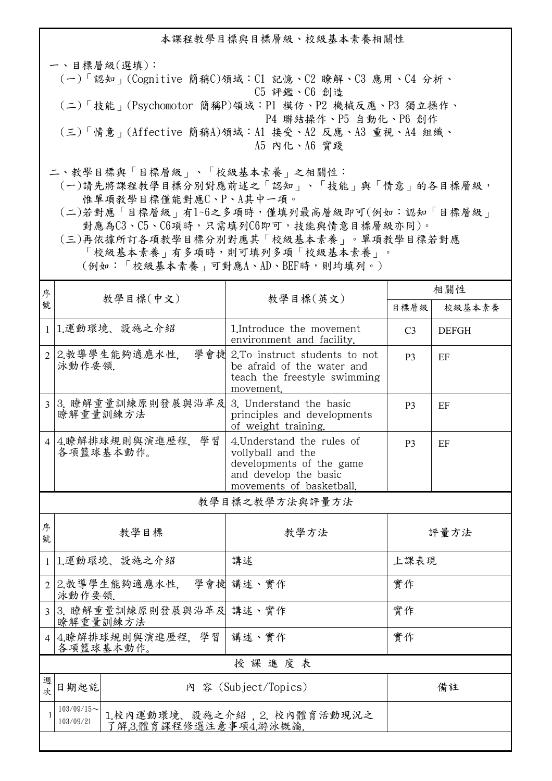本課程教學目標與目標層級、校級基本素養相關性 一、目標層級(選填): (一)「認知」(Cognitive 簡稱C)領域:C1 記憶、C2 瞭解、C3 應用、C4 分析、 C5 評鑑、C6 創造 (二)「技能」(Psychomotor 簡稱P)領域:P1 模仿、P2 機械反應、P3 獨立操作、 P4 聯結操作、P5 自動化、P6 創作

 (三)「情意」(Affective 簡稱A)領域:A1 接受、A2 反應、A3 重視、A4 組織、 A5 內化、A6 實踐

二、教學目標與「目標層級」、「校級基本素養」之相關性:

 (一)請先將課程教學目標分別對應前述之「認知」、「技能」與「情意」的各目標層級, 惟單項教學目標僅能對應C、P、A其中一項。

 (二)若對應「目標層級」有1~6之多項時,僅填列最高層級即可(例如:認知「目標層級」 對應為C3、C5、C6項時,只需填列C6即可,技能與情意目標層級亦同)。

 (三)再依據所訂各項教學目標分別對應其「校級基本素養」。單項教學目標若對應 「校級基本素養」有多項時,則可填列多項「校級基本素養」。 (例如:「校級基本素養」可對應A、AD、BEF時,則均填列。)

| 序              |                                                     | 教學目標(英文)                                                                                                                         | 相關性            |              |  |  |  |
|----------------|-----------------------------------------------------|----------------------------------------------------------------------------------------------------------------------------------|----------------|--------------|--|--|--|
| 號              | 教學目標(中文)                                            |                                                                                                                                  | 目標層級           | 校級基本素養       |  |  |  |
|                | 1 1.運動環境、設施之介紹                                      | 1. Introduce the movement<br>environment and facility.                                                                           | C <sub>3</sub> | <b>DEFGH</b> |  |  |  |
|                | 2 2.教導學生能夠適應水性.<br>泳動作要領.                           | 學會捷 2.To instruct students to not<br>be afraid of the water and<br>teach the freestyle swimming<br>movement.                     | P <sub>3</sub> | EF           |  |  |  |
| $\overline{3}$ | 3. 瞭解重量訓練原則發展與沿革及<br>瞭解重量訓練方法                       | 3. Understand the basic<br>principles and developments<br>of weight training.                                                    | P <sub>3</sub> | EF           |  |  |  |
| $\vert$        | 4.瞭解排球規則與演進歷程,學習<br>各項籃球基本動作。                       | 4. Understand the rules of<br>vollyball and the<br>developments of the game<br>and develop the basic<br>movements of basketball. | P <sub>3</sub> | EF           |  |  |  |
|                | 教學目標之教學方法與評量方法                                      |                                                                                                                                  |                |              |  |  |  |
| 序<br>號         | 教學目標                                                | 教學方法                                                                                                                             | 評量方法           |              |  |  |  |
| $\mathbf{1}$   | 1.運動環境、設施之介紹                                        | 講述                                                                                                                               | 上課表現           |              |  |  |  |
|                | 2 2.教導學生能夠適應水性, 學會捷 講述、實作<br>泳動作要領.                 |                                                                                                                                  | 實作             |              |  |  |  |
| $\overline{3}$ | 3. 瞭解重量訓練原則發展與沿革及 講述、實作<br>瞭解重量訓練方法                 |                                                                                                                                  | 實作             |              |  |  |  |
|                | 4 4.瞭解排球規則與演進歷程, 學習<br>各項籃球基本動作。                    | 講述、實作                                                                                                                            | 實作             |              |  |  |  |
|                | 授課進度表                                               |                                                                                                                                  |                |              |  |  |  |
| 週<br>坎         | 日期起訖                                                | 内 容 (Subject/Topics)                                                                                                             |                | 備註           |  |  |  |
| $\mathbf{1}$   | $103/09/15$ ~<br>103/09/21<br>了解3.體育課程修選注意事項4.游泳概論. | 1.校內運動環境、設施之介紹, 2. 校內體育活動現況之                                                                                                     |                |              |  |  |  |
|                |                                                     |                                                                                                                                  |                |              |  |  |  |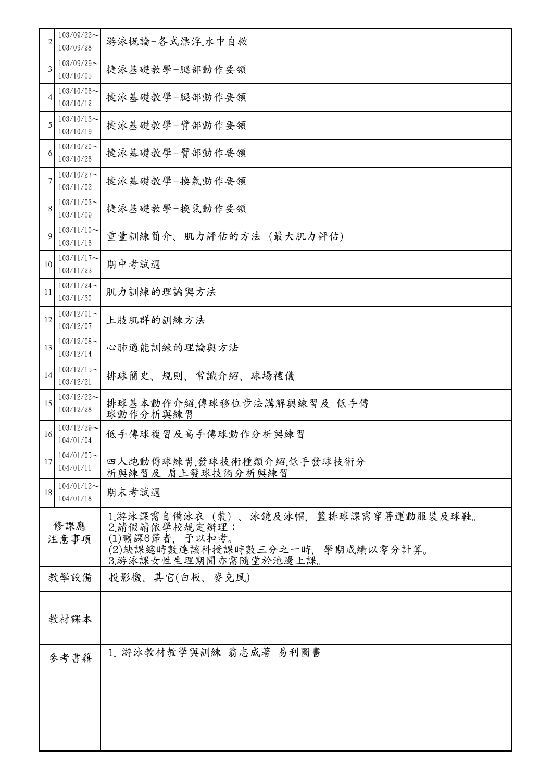| 2                              | $103/09/22$ ~<br>103/09/28 | 游泳概論-各式漂浮.水中自救                                                                                                                        |
|--------------------------------|----------------------------|---------------------------------------------------------------------------------------------------------------------------------------|
| 3                              | $103/09/29$ ~<br>103/10/05 | 捷泳基礎教學-腿部動作要領                                                                                                                         |
| 4                              | $103/10/06$ ~<br>103/10/12 | 捷泳基礎教學-腿部動作要領                                                                                                                         |
| 5                              | $103/10/13$ ~<br>103/10/19 | 捷泳基礎教學-臂部動作要領                                                                                                                         |
| 6                              | $103/10/20$ ~<br>103/10/26 | 捷泳基礎教學-臂部動作要領                                                                                                                         |
| 7                              | $103/10/27$ ~<br>103/11/02 | 捷泳基礎教學-換氣動作要領                                                                                                                         |
| 8                              | $103/11/03$ ~<br>103/11/09 | 捷泳基礎教學-換氣動作要領                                                                                                                         |
| 9                              | $103/11/10$ ~<br>103/11/16 | 重量訓練簡介、肌力評估的方法 (最大肌力評估)                                                                                                               |
| 10                             | $103/11/17$ ~<br>103/11/23 | 期中考試週                                                                                                                                 |
| 11                             | $103/11/24$ ~<br>103/11/30 | 肌力訓練的理論與方法                                                                                                                            |
| 12                             | $103/12/01$ ~<br>103/12/07 | 上肢肌群的訓練方法                                                                                                                             |
| 13                             | $103/12/08$ ~<br>103/12/14 | 心肺適能訓練的理論與方法                                                                                                                          |
| 14                             | $103/12/15$ ~<br>103/12/21 | 排球簡史、規則、常識介紹、球場禮儀                                                                                                                     |
| 15                             | $103/12/22$ ~<br>103/12/28 | 排球基本動作介紹,傳球移位步法講解與練習及 低手傳<br>球動作分析與練習                                                                                                 |
| 16                             | $103/12/29$ ~<br>104/01/04 | 低手傳球複習及高手傳球動作分析與練習                                                                                                                    |
| 17                             | $104/01/05$ ~<br>104/01/11 | 四人跑動傳球練習.發球技術種類介紹.低手發球技術分<br>析與練習及 肩上發球技術分析與練習                                                                                        |
| 18                             | $104/01/12$ ~<br>104/01/18 | 期末考試週                                                                                                                                 |
| 修課應<br>注意事項                    |                            | 1.游泳課需自備泳衣 (裝) 、泳鏡及泳帽,籃排球課需穿著運動服裝及球鞋。<br>2.請假請依學校規定辦理:<br>(1)曠課6節者, 予以扣考。<br>(2)缺課總時數達該科授課時數三分之一時,學期成績以零分計算。<br>3.游泳課女性生理期間亦需隨堂於池邊上課。 |
| 教學設備<br>投影機、其它(白板、麥克風)         |                            |                                                                                                                                       |
|                                | 教材課本                       |                                                                                                                                       |
| 1. 游泳教材教學與訓練 翁志成著 易利圖書<br>參考書籍 |                            |                                                                                                                                       |
|                                |                            |                                                                                                                                       |
|                                |                            |                                                                                                                                       |
|                                |                            |                                                                                                                                       |